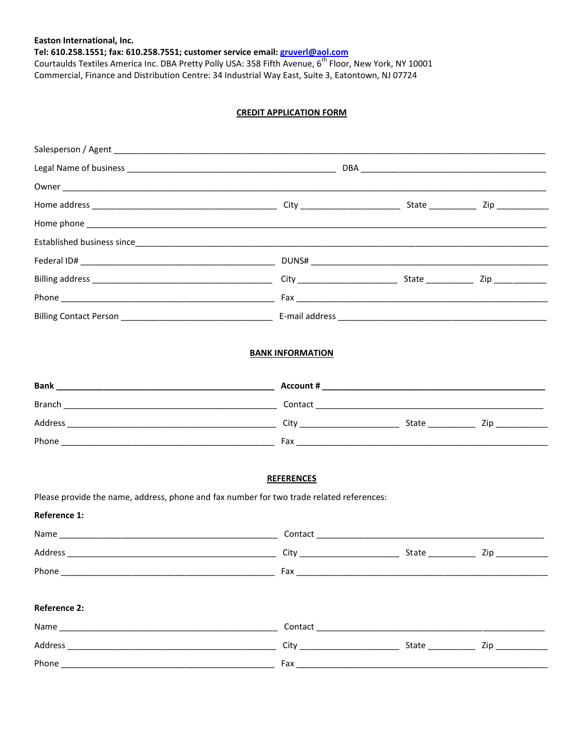## Easton International, Inc.

Tel: 610.258.1551; fax: 610.258.7551; customer service email: *gruverl@aol.com*<br>Courtaulds Textiles America Inc. DBA Pretty Polly USA: 358 Fifth Avenue, 6<sup>th</sup> Floor, New York, NY 10001 Commercial, Finance and Distribution Centre: 34 Industrial Way East, Suite 3, Eatontown, NJ 07724

## **CREDIT APPLICATION FORM**

| Established business since                                                               |                         |  |
|------------------------------------------------------------------------------------------|-------------------------|--|
|                                                                                          |                         |  |
|                                                                                          |                         |  |
|                                                                                          |                         |  |
|                                                                                          |                         |  |
|                                                                                          | <b>BANK INFORMATION</b> |  |
|                                                                                          |                         |  |
|                                                                                          |                         |  |
|                                                                                          |                         |  |
|                                                                                          |                         |  |
|                                                                                          |                         |  |
| Please provide the name, address, phone and fax number for two trade related references: | <b>REFERENCES</b>       |  |
| <b>Reference 1:</b>                                                                      |                         |  |
|                                                                                          |                         |  |
|                                                                                          |                         |  |
|                                                                                          |                         |  |
| <b>Reference 2:</b>                                                                      |                         |  |
|                                                                                          |                         |  |
|                                                                                          |                         |  |
|                                                                                          |                         |  |